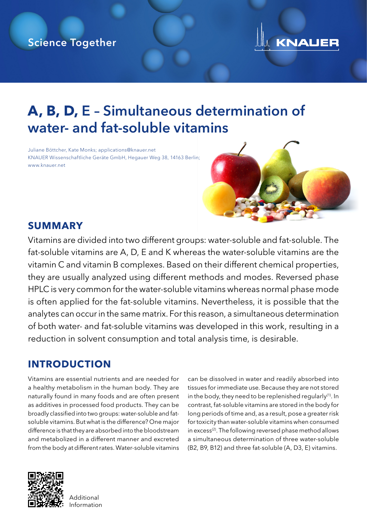

# **A, B, D,** E – Simultaneous determination of water- and fat-soluble vitamins

Juliane Böttcher, Kate Monks; applications@knauer.net KNAUER Wissenschaftliche Geräte GmbH, Hegauer Weg 38, 14163 Berlin; www.knauer.net



### **SUMMARY**

Vitamins are divided into two different groups: water-soluble and fat-soluble. The fat-soluble vitamins are A, D, E and K whereas the water-soluble vitamins are the vitamin C and vitamin B complexes. Based on their different chemical properties, they are usually analyzed using different methods and modes. Reversed phase HPLC is very common for the water-soluble vitamins whereas normal phase mode is often applied for the fat-soluble vitamins. Nevertheless, it is possible that the analytes can occur in the same matrix. For this reason, a simultaneous determination of both water- and fat-soluble vitamins was developed in this work, resulting in a reduction in solvent consumption and total analysis time, is desirable.

# **INTRODUCTION**

Vitamins are essential nutrients and are needed for a healthy metabolism in the human body. They are naturally found in many foods and are often present as additives in processed food products. They can be broadly classified into two groups: water-soluble and fatsoluble vitamins. But what is the difference? One major difference is that they are absorbed into the bloodstream and metabolized in a different manner and excreted from the body at different rates. Water-soluble vitamins





**Additional** Information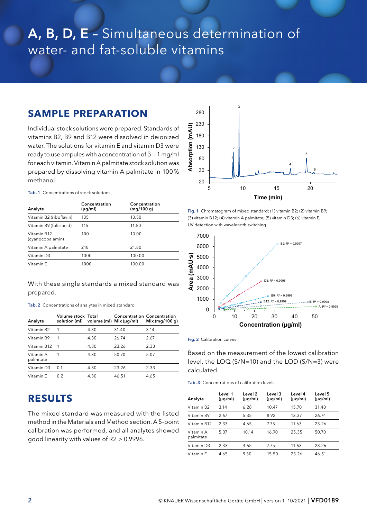# A, B, D, E – Simultaneous determination of water- and fat-soluble vitamins

## **SAMPLE PREPARATION**

Individual stock solutions were prepared. Standards of vitamins B2, B9 and B12 were dissolved in deionized water. The solutions for vitamin E and vitamin D3 were ready to use ampules with a concentration of  $\beta = 1$  mg/ml for each vitamin. Vitamin A palmitate stock solution was prepared by dissolving vitamin A palmitate in 100% methanol.

|        | Concentration | Concentration |
|--------|---------------|---------------|
| $\sim$ |               | .             |

Tab. 1 Concentrations of stock solutions

| Vitamin B2 (riboflavin)<br>135<br>13.50<br>115  |
|-------------------------------------------------|
|                                                 |
| Vitamin B9 (folic acid)<br>11.50                |
| 10.00<br>Vitamin B12<br>100<br>(cyanocobalamin) |
| 218<br>21.80<br>Vitamin A palmitate             |
| 1000<br>100.00<br>Vitamin D3                    |
| Vitamin E<br>1000<br>100.00                     |

With these single standards a mixed standard was prepared.

Tab. 2 Concentrations of analytes in mixed standard

| Analyte                | Volume stock Total<br>solution (ml) volume (ml) Mix (μg/ml) |      |       | <b>Concentration Concentration</b><br>Mix (mg/100 g) |
|------------------------|-------------------------------------------------------------|------|-------|------------------------------------------------------|
| Vitamin B2             |                                                             | 4.30 | 31.40 | 3.14                                                 |
| Vitamin B9             |                                                             | 4.30 | 26.74 | 2.67                                                 |
| Vitamin B12            |                                                             | 4.30 | 23.26 | 2.33                                                 |
| Vitamin A<br>palmitate |                                                             | 4.30 | 50.70 | 5.07                                                 |
| Vitamin D3             | 0.1                                                         | 4.30 | 23.26 | 2.33                                                 |
| Vitamin E              | 0.2                                                         | 4.30 | 46.51 | 4.65                                                 |

## **RESULTS**

The mixed standard was measured with the listed method in the Materials and Method section. A 5-point calibration was performed, and all analytes showed good linearity with values of R2 > 0.9996.



Fig. 1 Chromatogram of mixed standard; (1) vitamin B2; (2) vitamin B9; (3) vitamin B12; (4) vitamin A palmitate; (5) vitamin D3; (6) vitamin E, UV detection with wavelength switching



Fig. 2 Calibration curves

Based on the measurement of the lowest calibration level, the LOQ (S/N=10) and the LOD (S/N=3) were calculated.

Tab. 3 Concentrations of calibration levels

| Analyte                | Level 1<br>$(\mu q/ml)$ | Level 2<br>$(\mu q/ml)$ | Level 3<br>$(\mu q/ml)$ | Level 4<br>$(\mu g/ml)$ | Level 5<br>$(\mu q/ml)$ |
|------------------------|-------------------------|-------------------------|-------------------------|-------------------------|-------------------------|
| Vitamin B2             | 3.14                    | 6.28                    | 10.47                   | 15.70                   | 31.40                   |
| Vitamin B9             | 2.67                    | 5.35                    | 8.92                    | 13.37                   | 26.74                   |
| Vitamin B12            | 2.33                    | 4.65                    | 7.75                    | 11.63                   | 23.26                   |
| Vitamin A<br>palmitate | 5.07                    | 10.14                   | 16.90                   | 25.35                   | 50.70                   |
| Vitamin D3             | 2.33                    | 4.65                    | 7.75                    | 11.63                   | 23.26                   |
| Vitamin E              | 4.65                    | 9.30                    | 15.50                   | 23.26                   | 46.51                   |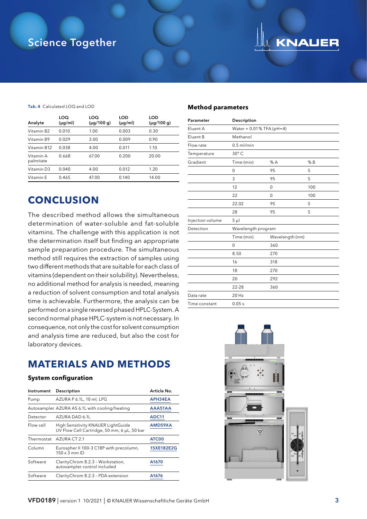

#### Tab. 4. Calculated LOO and LOD

| Analyte                | LOQ<br>$(\mu q/ml)$ | LOQ<br>$(\mu q/100 q)$ | LOD<br>$(\mu q/ml)$ | LOD<br>$(\mu g/100 g)$ |
|------------------------|---------------------|------------------------|---------------------|------------------------|
| Vitamin B2             | 0.010               | 1.00                   | 0.003               | 0.30                   |
| Vitamin B9             | 0.029               | 3.00                   | 0.009               | 0.90                   |
| Vitamin B12            | 0.038               | 4.00                   | 0.011               | 1.10                   |
| Vitamin A<br>palmitate | 0.668               | 67.00                  | 0.200               | 20.00                  |
| Vitamin D3             | 0.040               | 4.00                   | 0.012               | 1.20                   |
| Vitamin F              | 0.465               | 47.00                  | 0.140               | 14.00                  |

### **CONCLUSION**

The described method allows the simultaneous determination of water-soluble and fat-soluble vitamins. The challenge with this application is not the determination itself but finding an appropriate sample preparation procedure. The simultaneous method still requires the extraction of samples using two different methods that are suitable for each class of vitamins (dependent on their solubility). Nevertheless, no additional method for analysis is needed, meaning a reduction of solvent consumption and total analysis time is achievable. Furthermore, the analysis can be performed on a single reversed phased HPLC-System. A second normal phase HPLC-system is not necessary. In consequence, not only the cost for solvent consumption and analysis time are reduced, but also the cost for laboratory devices.

#### **Method parameters**

| Parameter        | Description               |                 |     |  |
|------------------|---------------------------|-----------------|-----|--|
| Eluent A         | Water + 0.01 % TFA (pH=4) |                 |     |  |
| Eluent B         | Methanol                  |                 |     |  |
| Flow rate        | $0.5$ ml/min              |                 |     |  |
| Temperature      | $30^\circ C$              |                 |     |  |
| Gradient         | Time (min)                | %A              | % B |  |
|                  | 0                         | 95              | 5   |  |
|                  | 3                         | 95              | 5   |  |
|                  | 12                        | $\mathbf 0$     | 100 |  |
|                  | 22                        | $\mathbf 0$     | 100 |  |
|                  | 22.02                     | 95              | 5   |  |
|                  | 28                        | 95              | 5   |  |
| Injection volume | $5 \mu$                   |                 |     |  |
| Detection        | Wavelength program        |                 |     |  |
|                  | Time (min)                | Wavelength (nm) |     |  |
|                  | 0                         | 360             |     |  |
|                  | 8.50                      | 270             |     |  |
|                  | 16                        | 318             |     |  |
|                  | 18                        | 270             |     |  |
|                  | 20                        | 292             |     |  |
|                  | $22 - 28$                 | 360             |     |  |
| Data rate        | 20 Hz                     |                 |     |  |
| Time constant    | 0.05 s                    |                 |     |  |
|                  |                           |                 |     |  |

### **MATERIALS AND METHODS**

#### **System configuration**

| Instrument | Description                                                                       | Article No.  |
|------------|-----------------------------------------------------------------------------------|--------------|
| Pump       | AZURA P 6.1L, 10 ml, LPG                                                          | APH34EA      |
|            | Autosampler AZURA AS 6.1L with cooling/heating                                    | AAA51AA      |
| Detector   | AZURA DAD 6.1L                                                                    | <b>ADC11</b> |
| Flow cell  | High Sensitivity KNAUER LightGuide<br>UV Flow Cell Cartridge, 50 mm, 6 µL, 50 bar | AMD59XA      |
| Thermostat | AZURA CT 2.1                                                                      | ATC00        |
| Column     | Eurospher II 100-3 C18P with precolumn,<br>$150 \times 3$ mm ID                   | 15XE182E2G   |
| Software   | ClarityChrom 8.2.3 - Workstation,<br>autosampler control included                 | A1670        |
| Software   | ClarityChrom 8.2.3 - PDA extension                                                | A1676        |